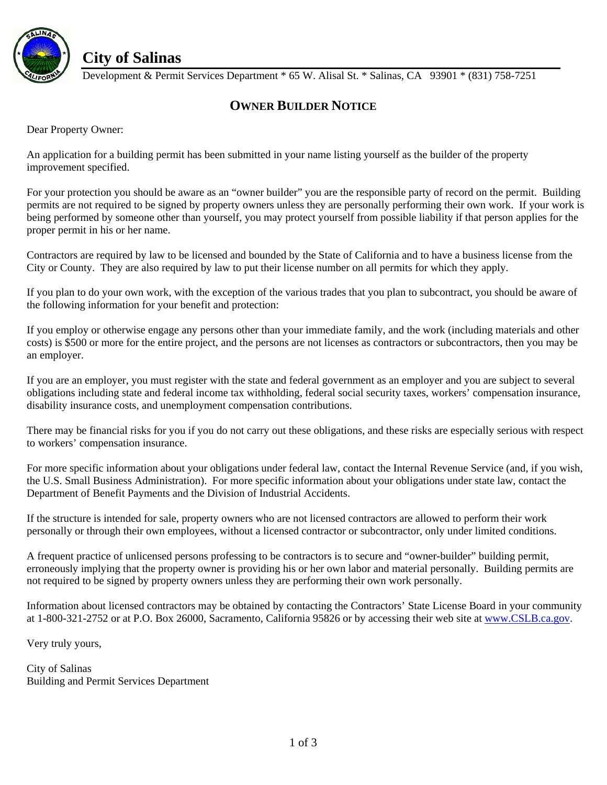

## **City of Salinas**

Development & Permit Services Department \* 65 W. Alisal St. \* Salinas, CA 93901 \* (831) 758-7251

## **OWNER BUILDER NOTICE**

Dear Property Owner:

An application for a building permit has been submitted in your name listing yourself as the builder of the property improvement specified.

For your protection you should be aware as an "owner builder" you are the responsible party of record on the permit. Building permits are not required to be signed by property owners unless they are personally performing their own work. If your work is being performed by someone other than yourself, you may protect yourself from possible liability if that person applies for the proper permit in his or her name.

Contractors are required by law to be licensed and bounded by the State of California and to have a business license from the City or County. They are also required by law to put their license number on all permits for which they apply.

If you plan to do your own work, with the exception of the various trades that you plan to subcontract, you should be aware of the following information for your benefit and protection:

If you employ or otherwise engage any persons other than your immediate family, and the work (including materials and other costs) is \$500 or more for the entire project, and the persons are not licenses as contractors or subcontractors, then you may be an employer.

If you are an employer, you must register with the state and federal government as an employer and you are subject to several obligations including state and federal income tax withholding, federal social security taxes, workers' compensation insurance, disability insurance costs, and unemployment compensation contributions.

There may be financial risks for you if you do not carry out these obligations, and these risks are especially serious with respect to workers' compensation insurance.

For more specific information about your obligations under federal law, contact the Internal Revenue Service (and, if you wish, the U.S. Small Business Administration). For more specific information about your obligations under state law, contact the Department of Benefit Payments and the Division of Industrial Accidents.

If the structure is intended for sale, property owners who are not licensed contractors are allowed to perform their work personally or through their own employees, without a licensed contractor or subcontractor, only under limited conditions.

A frequent practice of unlicensed persons professing to be contractors is to secure and "owner-builder" building permit, erroneously implying that the property owner is providing his or her own labor and material personally. Building permits are not required to be signed by property owners unless they are performing their own work personally.

Information about licensed contractors may be obtained by contacting the Contractors' State License Board in your community at 1-800-321-2752 or at P.O. Box 26000, Sacramento, California 95826 or by accessing their web site at [www.CSLB.ca.gov.](http://www.cslb.ca.gov/)

Very truly yours,

City of Salinas Building and Permit Services Department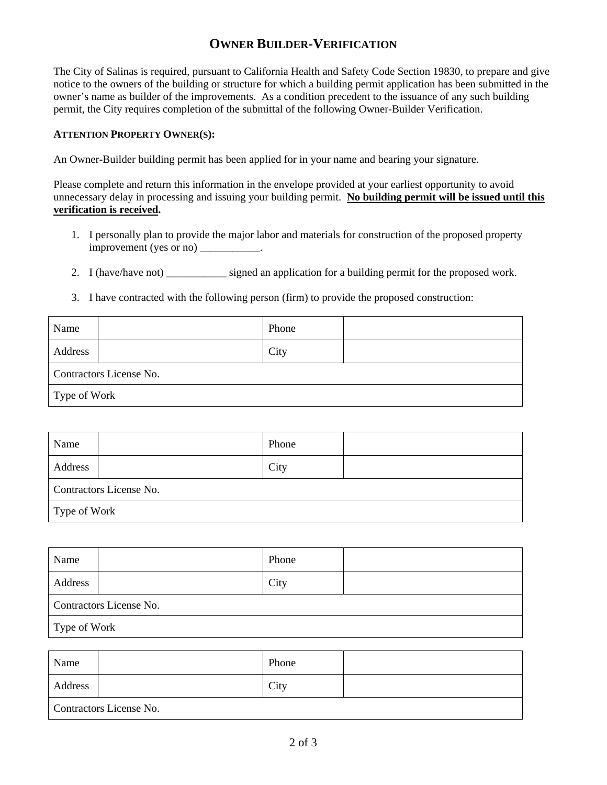## **OWNER BUILDER-VERIFICATION**

The City of Salinas is required, pursuant to California Health and Safety Code Section 19830, to prepare and give notice to the owners of the building or structure for which a building permit application has been submitted in the owner's name as builder of the improvements. As a condition precedent to the issuance of any such building permit, the City requires completion of the submittal of the following Owner-Builder Verification.

## **ATTENTION PROPERTY OWNER(S):**

An Owner-Builder building permit has been applied for in your name and bearing your signature.

Please complete and return this information in the envelope provided at your earliest opportunity to avoid unnecessary delay in processing and issuing your building permit. **No building permit will be issued until this verification is received.**

- 1. I personally plan to provide the major labor and materials for construction of the proposed property improvement (yes or no) \_\_\_\_\_\_\_\_\_\_\_.
- 2. I (have/have not) \_\_\_\_\_\_\_\_\_\_\_\_ signed an application for a building permit for the proposed work.
- 3. I have contracted with the following person (firm) to provide the proposed construction:

| Name                    | Phone |  |  |  |
|-------------------------|-------|--|--|--|
| Address                 | City  |  |  |  |
| Contractors License No. |       |  |  |  |
| Type of Work            |       |  |  |  |

| Name                    | Phone |  |  |
|-------------------------|-------|--|--|
| Address                 | City  |  |  |
| Contractors License No. |       |  |  |
| Type of Work            |       |  |  |

| Name                    | Phone |  |  |  |
|-------------------------|-------|--|--|--|
| Address                 | City  |  |  |  |
| Contractors License No. |       |  |  |  |
| l Type of Work          |       |  |  |  |

| Name                    | Phone |  |  |  |
|-------------------------|-------|--|--|--|
| Address                 | City  |  |  |  |
| Contractors License No. |       |  |  |  |